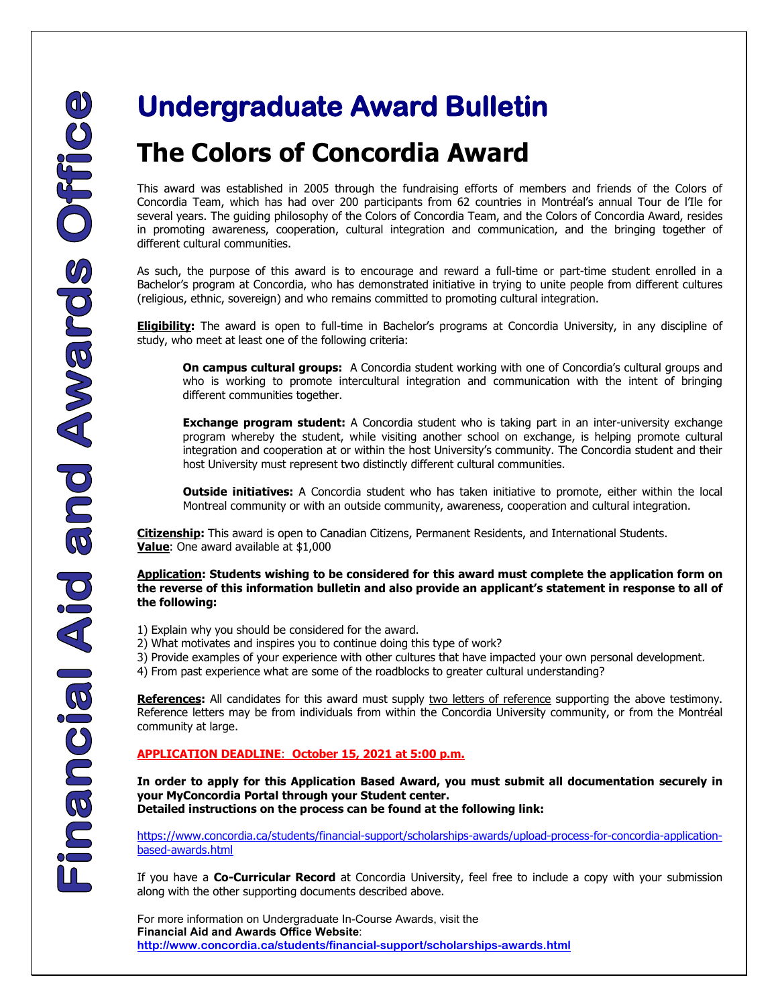## **The Colors of Concordia Award**

This award was established in 2005 through the fundraising efforts of members and friends of the Colors of Concordia Team, which has had over 200 participants from 62 countries in Montréal's annual Tour de l'Ile for several years. The guiding philosophy of the Colors of Concordia Team, and the Colors of Concordia Award, resides in promoting awareness, cooperation, cultural integration and communication, and the bringing together of different cultural communities.

As such, the purpose of this award is to encourage and reward a full-time or part-time student enrolled in a Bachelor's program at Concordia, who has demonstrated initiative in trying to unite people from different cultures (religious, ethnic, sovereign) and who remains committed to promoting cultural integration.

**Eligibility:** The award is open to full-time in Bachelor's programs at Concordia University, in any discipline of study, who meet at least one of the following criteria:

**On campus cultural groups:** A Concordia student working with one of Concordia's cultural groups and who is working to promote intercultural integration and communication with the intent of bringing different communities together.

**Exchange program student:** A Concordia student who is taking part in an inter-university exchange program whereby the student, while visiting another school on exchange, is helping promote cultural integration and cooperation at or within the host University's community. The Concordia student and their host University must represent two distinctly different cultural communities.

**Outside initiatives:** A Concordia student who has taken initiative to promote, either within the local Montreal community or with an outside community, awareness, cooperation and cultural integration.

**Citizenship:** This award is open to Canadian Citizens, Permanent Residents, and International Students. **Value**: One award available at \$1,000

**Application: Students wishing to be considered for this award must complete the application form on the reverse of this information bulletin and also provide an applicant's statement in response to all of the following:**

- 1) Explain why you should be considered for the award.
- 2) What motivates and inspires you to continue doing this type of work?
- 3) Provide examples of your experience with other cultures that have impacted your own personal development.
- 4) From past experience what are some of the roadblocks to greater cultural understanding?

**References:** All candidates for this award must supply two letters of reference supporting the above testimony. Reference letters may be from individuals from within the Concordia University community, or from the Montréal community at large.

## **APPLICATION DEADLINE**: **October 15, 2021 at 5:00 p.m.**

**In order to apply for this Application Based Award, you must submit all documentation securely in your MyConcordia Portal through your Student center. Detailed instructions on the process can be found at the following link:** 

[https://www.concordia.ca/students/financial-support/scholarships-awards/upload-process-for-concordia-application](https://www.concordia.ca/students/financial-support/scholarships-awards/upload-process-for-concordia-application-based-awards.html)[based-awards.html](https://www.concordia.ca/students/financial-support/scholarships-awards/upload-process-for-concordia-application-based-awards.html)

If you have a **Co-Curricular Record** at Concordia University, feel free to include a copy with your submission along with the other supporting documents described above.

 For more information on Undergraduate In-Course Awards, visit the **Financial Aid and Awards Office Website**: **<http://www.concordia.ca/students/financial-support/scholarships-awards.html>**